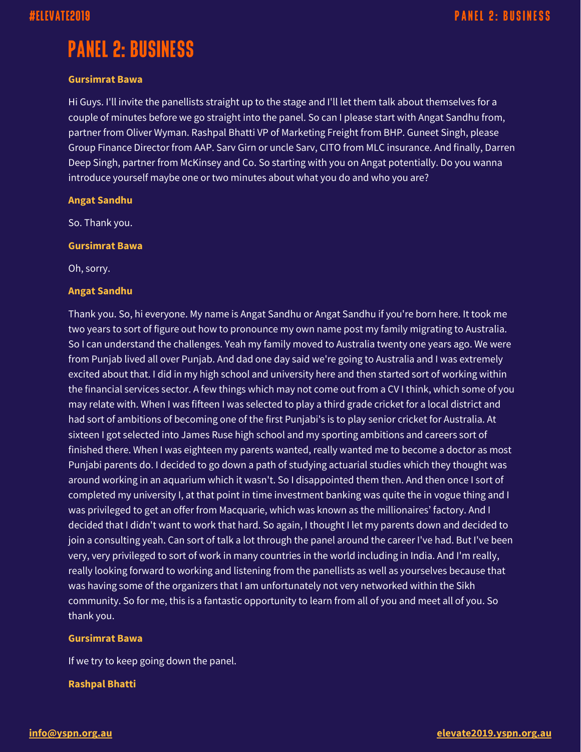# **PANEL 2: BUSINESS**

#### **Gursimrat Bawa**

Hi Guys. I'll invite the panellists straight up to the stage and I'll let them talk about themselves for a couple of minutes before we go straight into the panel. So can I please start with Angat Sandhu from, partner from Oliver Wyman. Rashpal Bhatti VP of Marketing Freight from BHP. Guneet Singh, please Group Finance Director from AAP. Sarv Girn or uncle Sarv, CITO from MLC insurance. And finally, Darren Deep Singh, partner from McKinsey and Co. So starting with you on Angat potentially. Do you wanna introduce yourself maybe one or two minutes about what you do and who you are?

#### **Angat Sandhu**

So. Thank you.

#### **Gursimrat Bawa**

Oh, sorry.

#### **Angat Sandhu**

Thank you. So, hi everyone. My name is Angat Sandhu or Angat Sandhu if you're born here. It took me two years to sort of figure out how to pronounce my own name post my family migrating to Australia. So I can understand the challenges. Yeah my family moved to Australia twenty one years ago. We were from Punjab lived all over Punjab. And dad one day said we're going to Australia and I was extremely excited about that. I did in my high school and university here and then started sort of working within the financial services sector. A few things which may not come out from a CV I think, which some of you may relate with. When I was fifteen I was selected to play a third grade cricket for a local district and had sort of ambitions of becoming one of the first Punjabi's is to play senior cricket for Australia. At sixteen I got selected into James Ruse high school and my sporting ambitions and careers sort of finished there. When I was eighteen my parents wanted, really wanted me to become a doctor as most Punjabi parents do. I decided to go down a path of studying actuarial studies which they thought was around working in an aquarium which it wasn't. So I disappointed them then. And then once I sort of completed my university I, at that point in time investment banking was quite the in vogue thing and I was privileged to get an offer from Macquarie, which was known as the millionaires' factory. And I decided that I didn't want to work that hard. So again, I thought I let my parents down and decided to join a consulting yeah. Can sort of talk a lot through the panel around the career I've had. But I've been very, very privileged to sort of work in many countries in the world including in India. And I'm really, really looking forward to working and listening from the panellists as well as yourselves because that was having some of the organizers that I am unfortunately not very networked within the Sikh community. So for me, this is a fantastic opportunity to learn from all of you and meet all of you. So thank you.

#### **Gursimrat Bawa**

If we try to keep going down the panel.

### **Rashpal Bhatti**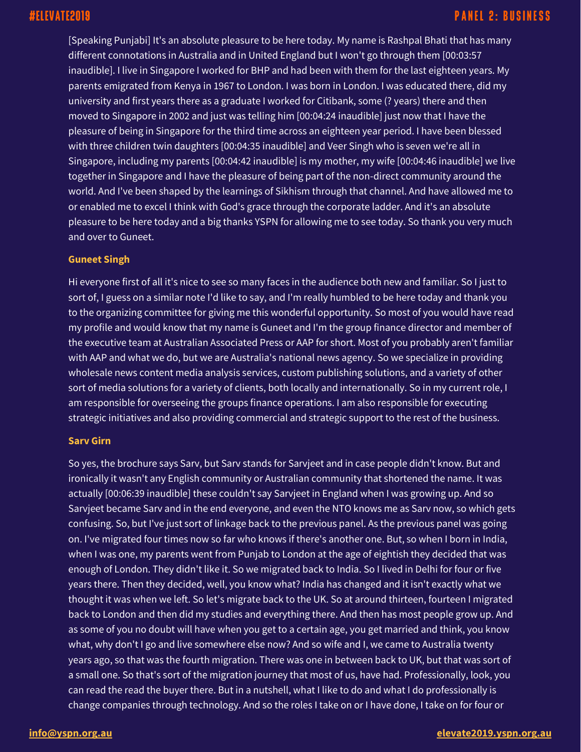[Speaking Punjabi] It's an absolute pleasure to be here today. My name is Rashpal Bhati that has many different connotations in Australia and in United England but I won't go through them [00:03:57 inaudible]. I live in Singapore I worked for BHP and had been with them for the last eighteen years. My parents emigrated from Kenya in 1967 to London. I was born in London. I was educated there, did my university and first years there as a graduate I worked for Citibank, some (? years) there and then moved to Singapore in 2002 and just was telling him [00:04:24 inaudible] just now that I have the pleasure of being in Singapore for the third time across an eighteen year period. I have been blessed with three children twin daughters [00:04:35 inaudible] and Veer Singh who is seven we're all in Singapore, including my parents [00:04:42 inaudible] is my mother, my wife [00:04:46 inaudible] we live together in Singapore and I have the pleasure of being part of the non-direct community around the world. And I've been shaped by the learnings of Sikhism through that channel. And have allowed me to or enabled me to excel I think with God's grace through the corporate ladder. And it's an absolute pleasure to be here today and a big thanks YSPN for allowing me to see today. So thank you very much and over to Guneet.

#### **Guneet Singh**

Hi everyone first of all it's nice to see so many faces in the audience both new and familiar. So I just to sort of, I guess on a similar note I'd like to say, and I'm really humbled to be here today and thank you to the organizing committee for giving me this wonderful opportunity. So most of you would have read my profile and would know that my name is Guneet and I'm the group finance director and member of the executive team at Australian Associated Press or AAP for short. Most of you probably aren't familiar with AAP and what we do, but we are Australia's national news agency. So we specialize in providing wholesale news content media analysis services, custom publishing solutions, and a variety of other sort of media solutions for a variety of clients, both locally and internationally. So in my current role, I am responsible for overseeing the groups finance operations. I am also responsible for executing strategic initiatives and also providing commercial and strategic support to the rest of the business.

#### **Sarv Girn**

So yes, the brochure says Sarv, but Sarv stands for Sarvjeet and in case people didn't know. But and ironically it wasn't any English community or Australian community that shortened the name. It was actually [00:06:39 inaudible] these couldn't say Sarvjeet in England when I was growing up. And so Sarvjeet became Sarv and in the end everyone, and even the NTO knows me as Sarv now, so which gets confusing. So, but I've just sort of linkage back to the previous panel. As the previous panel was going on. I've migrated four times now so far who knows if there's another one. But, so when I born in India, when I was one, my parents went from Punjab to London at the age of eightish they decided that was enough of London. They didn't like it. So we migrated back to India. So I lived in Delhi for four or five years there. Then they decided, well, you know what? India has changed and it isn't exactly what we thought it was when we left. So let's migrate back to the UK. So at around thirteen, fourteen I migrated back to London and then did my studies and everything there. And then has most people grow up. And as some of you no doubt will have when you get to a certain age, you get married and think, you know what, why don't I go and live somewhere else now? And so wife and I, we came to Australia twenty years ago, so that was the fourth migration. There was one in between back to UK, but that was sort of a small one. So that's sort of the migration journey that most of us, have had. Professionally, look, you can read the read the buyer there. But in a nutshell, what I like to do and what I do professionally is change companies through technology. And so the roles I take on or I have done, I take on for four or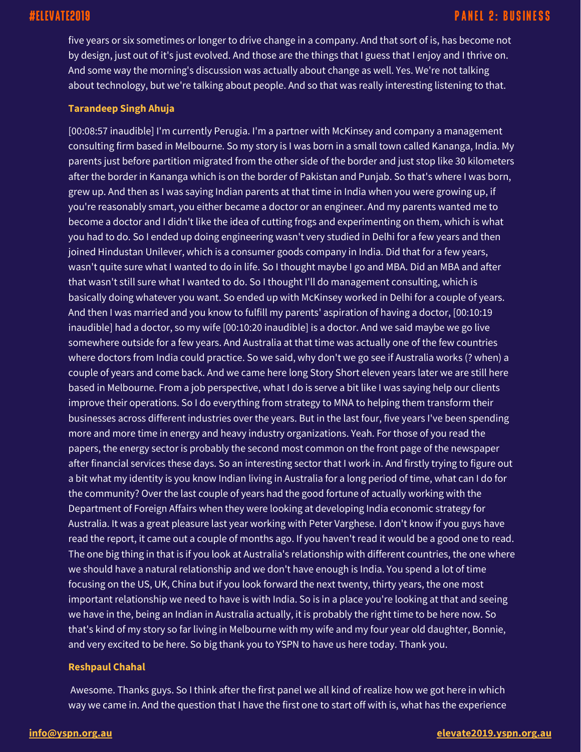five years or six sometimes or longer to drive change in a company. And that sort of is, has become not by design, just out of it's just evolved. And those are the things that I guess that I enjoy and I thrive on. And some way the morning's discussion was actually about change as well. Yes. We're not talking about technology, but we're talking about people. And so that was really interesting listening to that.

#### **Tarandeep Singh Ahuja**

[00:08:57 inaudible] I'm currently Perugia. I'm a partner with McKinsey and company a management consulting firm based in Melbourne. So my story is I was born in a small town called Kananga, India. My parents just before partition migrated from the other side of the border and just stop like 30 kilometers after the border in Kananga which is on the border of Pakistan and Punjab. So that's where I was born, grew up. And then as I was saying Indian parents at that time in India when you were growing up, if you're reasonably smart, you either became a doctor or an engineer. And my parents wanted me to become a doctor and I didn't like the idea of cutting frogs and experimenting on them, which is what you had to do. So I ended up doing engineering wasn't very studied in Delhi for a few years and then joined Hindustan Unilever, which is a consumer goods company in India. Did that for a few years, wasn't quite sure what I wanted to do in life. So I thought maybe I go and MBA. Did an MBA and after that wasn't still sure what I wanted to do. So I thought I'll do management consulting, which is basically doing whatever you want. So ended up with McKinsey worked in Delhi for a couple of years. And then I was married and you know to fulfill my parents' aspiration of having a doctor, [00:10:19 inaudible] had a doctor, so my wife [00:10:20 inaudible] is a doctor. And we said maybe we go live somewhere outside for a few years. And Australia at that time was actually one of the few countries where doctors from India could practice. So we said, why don't we go see if Australia works (? when) a couple of years and come back. And we came here long Story Short eleven years later we are still here based in Melbourne. From a job perspective, what I do is serve a bit like I was saying help our clients improve their operations. So I do everything from strategy to MNA to helping them transform their businesses across different industries over the years. But in the last four, five years I've been spending more and more time in energy and heavy industry organizations. Yeah. For those of you read the papers, the energy sector is probably the second most common on the front page of the newspaper after financial services these days. So an interesting sector that I work in. And firstly trying to figure out a bit what my identity is you know Indian living in Australia for a long period of time, what can I do for the community? Over the last couple of years had the good fortune of actually working with the Department of Foreign Affairs when they were looking at developing India economic strategy for Australia. It was a great pleasure last year working with Peter Varghese. I don't know if you guys have read the report, it came out a couple of months ago. If you haven't read it would be a good one to read. The one big thing in that is if you look at Australia's relationship with different countries, the one where we should have a natural relationship and we don't have enough is India. You spend a lot of time focusing on the US, UK, China but if you look forward the next twenty, thirty years, the one most important relationship we need to have is with India. So is in a place you're looking at that and seeing we have in the, being an Indian in Australia actually, it is probably the right time to be here now. So that's kind of my story so far living in Melbourne with my wife and my four year old daughter, Bonnie, and very excited to be here. So big thank you to YSPN to have us here today. Thank you.

#### **Reshpaul Chahal**

Awesome. Thanks guys. So I think after the first panel we all kind of realize how we got here in which way we came in. And the question that I have the first one to start off with is, what has the experience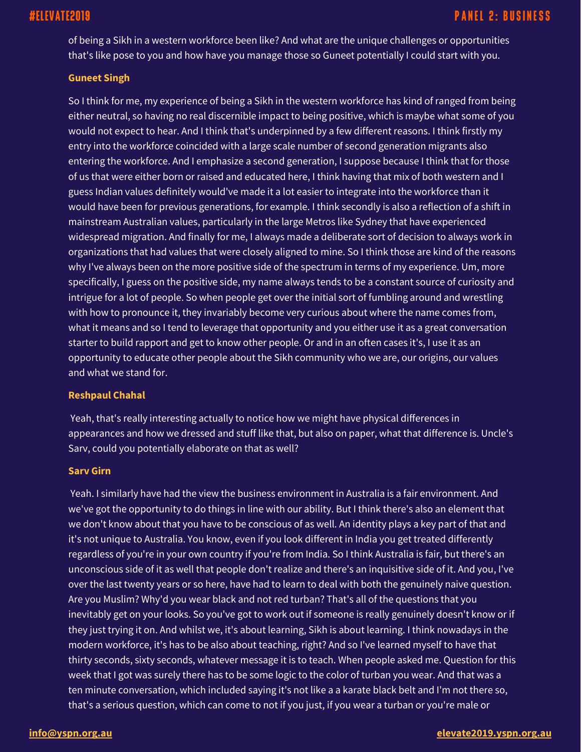of being a Sikh in a western workforce been like? And what are the unique challenges or opportunities that's like pose to you and how have you manage those so Guneet potentially I could start with you.

#### **Guneet Singh**

So I think for me, my experience of being a Sikh in the western workforce has kind of ranged from being either neutral, so having no real discernible impact to being positive, which is maybe what some of you would not expect to hear. And I think that's underpinned by a few different reasons. I think firstly my entry into the workforce coincided with a large scale number of second generation migrants also entering the workforce. And I emphasize a second generation, I suppose because I think that for those of us that were either born or raised and educated here, I think having that mix of both western and I guess Indian values definitely would've made it a lot easier to integrate into the workforce than it would have been for previous generations, for example. I think secondly is also a reflection of a shift in mainstream Australian values, particularly in the large Metros like Sydney that have experienced widespread migration. And finally for me, I always made a deliberate sort of decision to always work in organizations that had values that were closely aligned to mine. So I think those are kind of the reasons why I've always been on the more positive side of the spectrum in terms of my experience. Um, more specifically, I guess on the positive side, my name always tends to be a constant source of curiosity and intrigue for a lot of people. So when people get over the initial sort of fumbling around and wrestling with how to pronounce it, they invariably become very curious about where the name comes from, what it means and so I tend to leverage that opportunity and you either use it as a great conversation starter to build rapport and get to know other people. Or and in an often cases it's, I use it as an opportunity to educate other people about the Sikh community who we are, our origins, our values and what we stand for.

#### **Reshpaul Chahal**

Yeah, that's really interesting actually to notice how we might have physical differences in appearances and how we dressed and stuff like that, but also on paper, what that difference is. Uncle's Sarv, could you potentially elaborate on that as well?

#### **Sarv Girn**

Yeah. I similarly have had the view the business environment in Australia is a fair environment. And we've got the opportunity to do things in line with our ability. But I think there's also an element that we don't know about that you have to be conscious of as well. An identity plays a key part of that and it's not unique to Australia. You know, even if you look different in India you get treated differently regardless of you're in your own country if you're from India. So I think Australia is fair, but there's an unconscious side of it as well that people don't realize and there's an inquisitive side of it. And you, I've over the last twenty years or so here, have had to learn to deal with both the genuinely naive question. Are you Muslim? Why'd you wear black and not red turban? That's all of the questions that you inevitably get on your looks. So you've got to work out if someone is really genuinely doesn't know or if they just trying it on. And whilst we, it's about learning, Sikh is about learning. I think nowadays in the modern workforce, it's has to be also about teaching, right? And so I've learned myself to have that thirty seconds, sixty seconds, whatever message it is to teach. When people asked me. Question for this week that I got was surely there has to be some logic to the color of turban you wear. And that was a ten minute conversation, which included saying it's not like a a karate black belt and I'm not there so, that's a serious question, which can come to not if you just, if you wear a turban or you're male or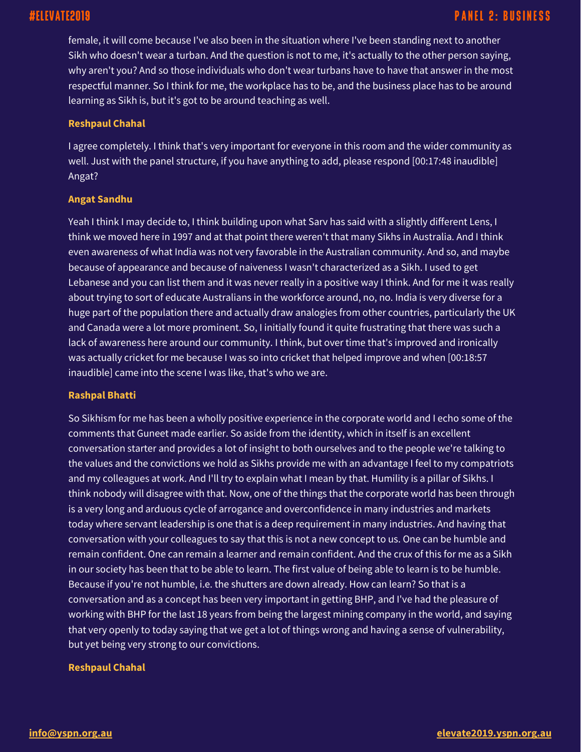# #ELEVATE2019

# **PANEL 2: BUSINESS**

female, it will come because I've also been in the situation where I've been standing next to another Sikh who doesn't wear a turban. And the question is not to me, it's actually to the other person saying, why aren't you? And so those individuals who don't wear turbans have to have that answer in the most respectful manner. So I think for me, the workplace has to be, and the business place has to be around learning as Sikh is, but it's got to be around teaching as well.

#### **Reshpaul Chahal**

I agree completely. I think that's very important for everyone in this room and the wider community as well. Just with the panel structure, if you have anything to add, please respond [00:17:48 inaudible] Angat?

#### **Angat Sandhu**

Yeah I think I may decide to, I think building upon what Sarv has said with a slightly different Lens, I think we moved here in 1997 and at that point there weren't that many Sikhs in Australia. And I think even awareness of what India was not very favorable in the Australian community. And so, and maybe because of appearance and because of naiveness I wasn't characterized as a Sikh. I used to get Lebanese and you can list them and it was never really in a positive way I think. And for me it was really about trying to sort of educate Australians in the workforce around, no, no. India is very diverse for a huge part of the population there and actually draw analogies from other countries, particularly the UK and Canada were a lot more prominent. So, I initially found it quite frustrating that there was such a lack of awareness here around our community. I think, but over time that's improved and ironically was actually cricket for me because I was so into cricket that helped improve and when [00:18:57 inaudible] came into the scene I was like, that's who we are.

### **Rashpal Bhatti**

So Sikhism for me has been a wholly positive experience in the corporate world and I echo some of the comments that Guneet made earlier. So aside from the identity, which in itself is an excellent conversation starter and provides a lot of insight to both ourselves and to the people we're talking to the values and the convictions we hold as Sikhs provide me with an advantage I feel to my compatriots and my colleagues at work. And I'll try to explain what I mean by that. Humility is a pillar of Sikhs. I think nobody will disagree with that. Now, one of the things that the corporate world has been through is a very long and arduous cycle of arrogance and overconfidence in many industries and markets today where servant leadership is one that is a deep requirement in many industries. And having that conversation with your colleagues to say that this is not a new concept to us. One can be humble and remain confident. One can remain a learner and remain confident. And the crux of this for me as a Sikh in our society has been that to be able to learn. The first value of being able to learn is to be humble. Because if you're not humble, i.e. the shutters are down already. How can learn? So that is a conversation and as a concept has been very important in getting BHP, and I've had the pleasure of working with BHP for the last 18 years from being the largest mining company in the world, and saying that very openly to today saying that we get a lot of things wrong and having a sense of vulnerability, but yet being very strong to our convictions.

#### **Reshpaul Chahal**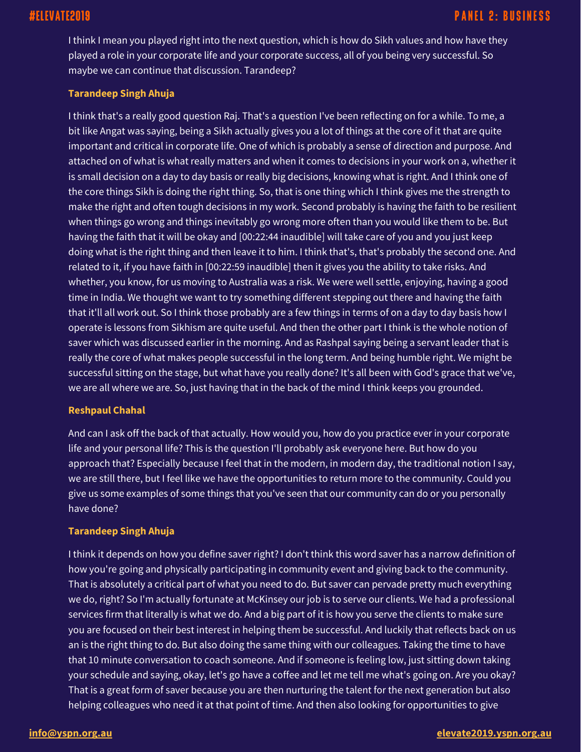I think I mean you played right into the next question, which is how do Sikh values and how have they played a role in your corporate life and your corporate success, all of you being very successful. So maybe we can continue that discussion. Tarandeep?

### **Tarandeep Singh Ahuja**

I think that's a really good question Raj. That's a question I've been reflecting on for a while. To me, a bit like Angat was saying, being a Sikh actually gives you a lot of things at the core of it that are quite important and critical in corporate life. One of which is probably a sense of direction and purpose. And attached on of what is what really matters and when it comes to decisions in your work on a, whether it is small decision on a day to day basis or really big decisions, knowing what is right. And I think one of the core things Sikh is doing the right thing. So, that is one thing which I think gives me the strength to make the right and often tough decisions in my work. Second probably is having the faith to be resilient when things go wrong and things inevitably go wrong more often than you would like them to be. But having the faith that it will be okay and [00:22:44 inaudible] will take care of you and you just keep doing what is the right thing and then leave it to him. I think that's, that's probably the second one. And related to it, if you have faith in [00:22:59 inaudible] then it gives you the ability to take risks. And whether, you know, for us moving to Australia was a risk. We were well settle, enjoying, having a good time in India. We thought we want to try something different stepping out there and having the faith that it'll all work out. So I think those probably are a few things in terms of on a day to day basis how I operate is lessons from Sikhism are quite useful. And then the other part I think is the whole notion of saver which was discussed earlier in the morning. And as Rashpal saying being a servant leader that is really the core of what makes people successful in the long term. And being humble right. We might be successful sitting on the stage, but what have you really done? It's all been with God's grace that we've, we are all where we are. So, just having that in the back of the mind I think keeps you grounded.

#### **Reshpaul Chahal**

And can I ask off the back of that actually. How would you, how do you practice ever in your corporate life and your personal life? This is the question I'll probably ask everyone here. But how do you approach that? Especially because I feel that in the modern, in modern day, the traditional notion I say, we are still there, but I feel like we have the opportunities to return more to the community. Could you give us some examples of some things that you've seen that our community can do or you personally have done?

### **Tarandeep Singh Ahuja**

I think it depends on how you define saver right? I don't think this word saver has a narrow definition of how you're going and physically participating in community event and giving back to the community. That is absolutely a critical part of what you need to do. But saver can pervade pretty much everything we do, right? So I'm actually fortunate at McKinsey our job is to serve our clients. We had a professional services firm that literally is what we do. And a big part of it is how you serve the clients to make sure you are focused on their best interest in helping them be successful. And luckily that reflects back on us an is the right thing to do. But also doing the same thing with our colleagues. Taking the time to have that 10 minute conversation to coach someone. And if someone is feeling low, just sitting down taking your schedule and saying, okay, let's go have a coffee and let me tell me what's going on. Are you okay? That is a great form of saver because you are then nurturing the talent for the next generation but also helping colleagues who need it at that point of time. And then also looking for opportunities to give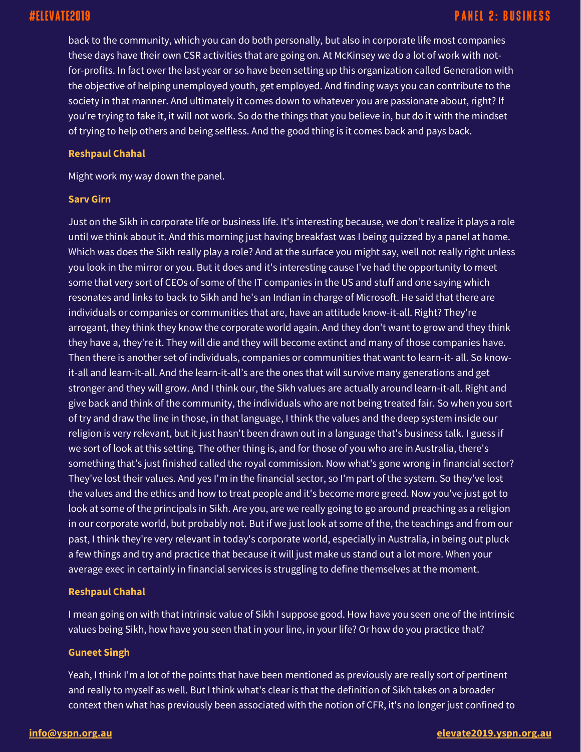back to the community, which you can do both personally, but also in corporate life most companies these days have their own CSR activities that are going on. At McKinsey we do a lot of work with notfor-profits. In fact over the last year or so have been setting up this organization called Generation with the objective of helping unemployed youth, get employed. And finding ways you can contribute to the society in that manner. And ultimately it comes down to whatever you are passionate about, right? If you're trying to fake it, it will not work. So do the things that you believe in, but do it with the mindset of trying to help others and being selfless. And the good thing is it comes back and pays back.

#### **Reshpaul Chahal**

Might work my way down the panel.

#### **Sarv Girn**

Just on the Sikh in corporate life or business life. It's interesting because, we don't realize it plays a role until we think about it. And this morning just having breakfast was I being quizzed by a panel at home. Which was does the Sikh really play a role? And at the surface you might say, well not really right unless you look in the mirror or you. But it does and it's interesting cause I've had the opportunity to meet some that very sort of CEOs of some of the IT companies in the US and stuff and one saying which resonates and links to back to Sikh and he's an Indian in charge of Microsoft. He said that there are individuals or companies or communities that are, have an attitude know-it-all. Right? They're arrogant, they think they know the corporate world again. And they don't want to grow and they think they have a, they're it. They will die and they will become extinct and many of those companies have. Then there is another set of individuals, companies or communities that want to learn-it- all. So knowit-all and learn-it-all. And the learn-it-all's are the ones that will survive many generations and get stronger and they will grow. And I think our, the Sikh values are actually around learn-it-all. Right and give back and think of the community, the individuals who are not being treated fair. So when you sort of try and draw the line in those, in that language, I think the values and the deep system inside our religion is very relevant, but it just hasn't been drawn out in a language that's business talk. I guess if we sort of look at this setting. The other thing is, and for those of you who are in Australia, there's something that's just finished called the royal commission. Now what's gone wrong in financial sector? They've lost their values. And yes I'm in the financial sector, so I'm part of the system. So they've lost the values and the ethics and how to treat people and it's become more greed. Now you've just got to look at some of the principals in Sikh. Are you, are we really going to go around preaching as a religion in our corporate world, but probably not. But if we just look at some of the, the teachings and from our past, I think they're very relevant in today's corporate world, especially in Australia, in being out pluck a few things and try and practice that because it will just make us stand out a lot more. When your average exec in certainly in financial services is struggling to define themselves at the moment.

#### **Reshpaul Chahal**

I mean going on with that intrinsic value of Sikh I suppose good. How have you seen one of the intrinsic values being Sikh, how have you seen that in your line, in your life? Or how do you practice that?

#### **Guneet Singh**

Yeah, I think I'm a lot of the points that have been mentioned as previously are really sort of pertinent and really to myself as well. But I think what's clear is that the definition of Sikh takes on a broader context then what has previously been associated with the notion of CFR, it's no longer just confined to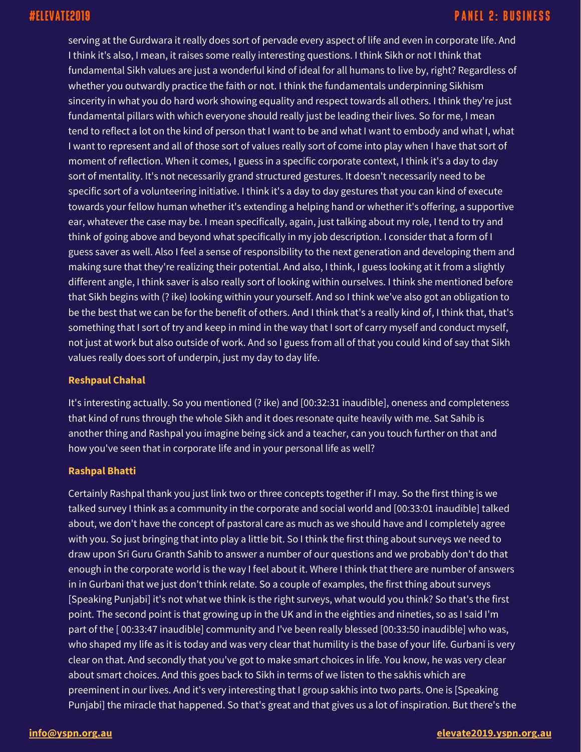serving at the Gurdwara it really does sort of pervade every aspect of life and even in corporate life. And I think it's also, I mean, it raises some really interesting questions. I think Sikh or not I think that fundamental Sikh values are just a wonderful kind of ideal for all humans to live by, right? Regardless of whether you outwardly practice the faith or not. I think the fundamentals underpinning Sikhism sincerity in what you do hard work showing equality and respect towards all others. I think they're just fundamental pillars with which everyone should really just be leading their lives. So for me, I mean tend to reflect a lot on the kind of person that I want to be and what I want to embody and what I, what I want to represent and all of those sort of values really sort of come into play when I have that sort of moment of reflection. When it comes, I guess in a specific corporate context, I think it's a day to day sort of mentality. It's not necessarily grand structured gestures. It doesn't necessarily need to be specific sort of a volunteering initiative. I think it's a day to day gestures that you can kind of execute towards your fellow human whether it's extending a helping hand or whether it's offering, a supportive ear, whatever the case may be. I mean specifically, again, just talking about my role, I tend to try and think of going above and beyond what specifically in my job description. I consider that a form of I guess saver as well. Also I feel a sense of responsibility to the next generation and developing them and making sure that they're realizing their potential. And also, I think, I guess looking at it from a slightly different angle, I think saver is also really sort of looking within ourselves. I think she mentioned before that Sikh begins with (? ike) looking within your yourself. And so I think we've also got an obligation to be the best that we can be for the benefit of others. And I think that's a really kind of, I think that, that's something that I sort of try and keep in mind in the way that I sort of carry myself and conduct myself, not just at work but also outside of work. And so I guess from all of that you could kind of say that Sikh values really does sort of underpin, just my day to day life.

#### **Reshpaul Chahal**

It's interesting actually. So you mentioned (? ike) and [00:32:31 inaudible], oneness and completeness that kind of runs through the whole Sikh and it does resonate quite heavily with me. Sat Sahib is another thing and Rashpal you imagine being sick and a teacher, can you touch further on that and how you've seen that in corporate life and in your personal life as well?

### **Rashpal Bhatti**

Certainly Rashpal thank you just link two or three concepts together if I may. So the first thing is we talked survey I think as a community in the corporate and social world and [00:33:01 inaudible] talked about, we don't have the concept of pastoral care as much as we should have and I completely agree with you. So just bringing that into play a little bit. So I think the first thing about surveys we need to draw upon Sri Guru Granth Sahib to answer a number of our questions and we probably don't do that enough in the corporate world is the way I feel about it. Where I think that there are number of answers in in Gurbani that we just don't think relate. So a couple of examples, the first thing about surveys [Speaking Punjabi] it's not what we think is the right surveys, what would you think? So that's the first point. The second point is that growing up in the UK and in the eighties and nineties, so as I said I'm part of the [ 00:33:47 inaudible] community and I've been really blessed [00:33:50 inaudible] who was, who shaped my life as it is today and was very clear that humility is the base of your life. Gurbani is very clear on that. And secondly that you've got to make smart choices in life. You know, he was very clear about smart choices. And this goes back to Sikh in terms of we listen to the sakhis which are preeminent in our lives. And it's very interesting that I group sakhis into two parts. One is [Speaking Punjabi] the miracle that happened. So that's great and that gives us a lot of inspiration. But there's the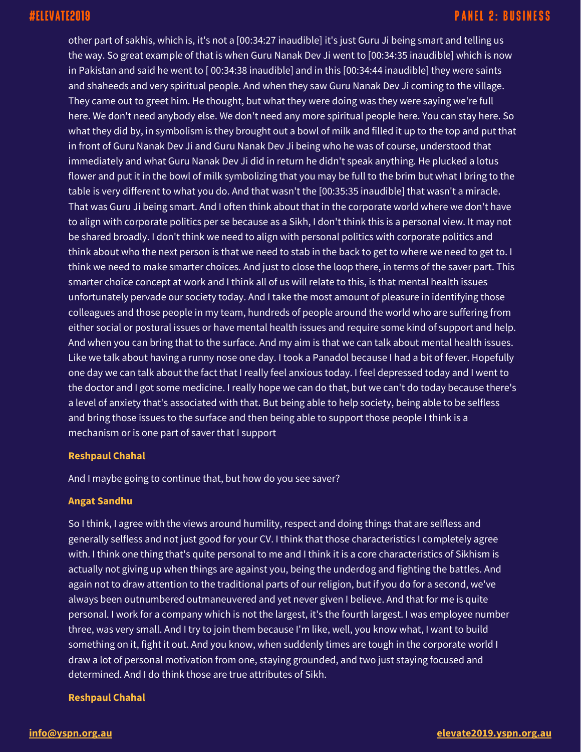other part of sakhis, which is, it's not a [00:34:27 inaudible] it's just Guru Ji being smart and telling us the way. So great example of that is when Guru Nanak Dev Ji went to [00:34:35 inaudible] which is now in Pakistan and said he went to [ 00:34:38 inaudible] and in this [00:34:44 inaudible] they were saints and shaheeds and very spiritual people. And when they saw Guru Nanak Dev Ji coming to the village. They came out to greet him. He thought, but what they were doing was they were saying we're full here. We don't need anybody else. We don't need any more spiritual people here. You can stay here. So what they did by, in symbolism is they brought out a bowl of milk and filled it up to the top and put that in front of Guru Nanak Dev Ji and Guru Nanak Dev Ji being who he was of course, understood that immediately and what Guru Nanak Dev Ji did in return he didn't speak anything. He plucked a lotus flower and put it in the bowl of milk symbolizing that you may be full to the brim but what I bring to the table is very different to what you do. And that wasn't the [00:35:35 inaudible] that wasn't a miracle. That was Guru Ji being smart. And I often think about that in the corporate world where we don't have to align with corporate politics per se because as a Sikh, I don't think this is a personal view. It may not be shared broadly. I don't think we need to align with personal politics with corporate politics and think about who the next person is that we need to stab in the back to get to where we need to get to. I think we need to make smarter choices. And just to close the loop there, in terms of the saver part. This smarter choice concept at work and I think all of us will relate to this, is that mental health issues unfortunately pervade our society today. And I take the most amount of pleasure in identifying those colleagues and those people in my team, hundreds of people around the world who are suffering from either social or postural issues or have mental health issues and require some kind of support and help. And when you can bring that to the surface. And my aim is that we can talk about mental health issues. Like we talk about having a runny nose one day. I took a Panadol because I had a bit of fever. Hopefully one day we can talk about the fact that I really feel anxious today. I feel depressed today and I went to the doctor and I got some medicine. I really hope we can do that, but we can't do today because there's a level of anxiety that's associated with that. But being able to help society, being able to be selfless and bring those issues to the surface and then being able to support those people I think is a mechanism or is one part of saver that I support

#### **Reshpaul Chahal**

And I maybe going to continue that, but how do you see saver?

### **Angat Sandhu**

So I think, I agree with the views around humility, respect and doing things that are selfless and generally selfless and not just good for your CV. I think that those characteristics I completely agree with. I think one thing that's quite personal to me and I think it is a core characteristics of Sikhism is actually not giving up when things are against you, being the underdog and fighting the battles. And again not to draw attention to the traditional parts of our religion, but if you do for a second, we've always been outnumbered outmaneuvered and yet never given I believe. And that for me is quite personal. I work for a company which is not the largest, it's the fourth largest. I was employee number three, was very small. And I try to join them because I'm like, well, you know what, I want to build something on it, fight it out. And you know, when suddenly times are tough in the corporate world I draw a lot of personal motivation from one, staying grounded, and two just staying focused and determined. And I do think those are true attributes of Sikh.

#### **Reshpaul Chahal**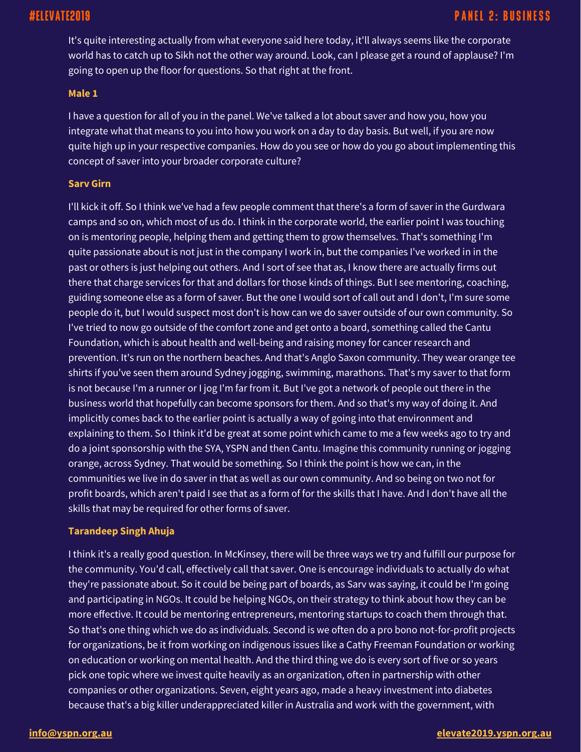# #ELEVATE2019

It's quite interesting actually from what everyone said here today, it'll always seems like the corporate world has to catch up to Sikh not the other way around. Look, can I please get a round of applause? I'm going to open up the floor for questions. So that right at the front.

#### **Male 1**

I have a question for all of you in the panel. We've talked a lot about saver and how you, how you integrate what that means to you into how you work on a day to day basis. But well, if you are now quite high up in your respective companies. How do you see or how do you go about implementing this concept of saver into your broader corporate culture?

#### **Sarv Girn**

I'll kick it off. So I think we've had a few people comment that there's a form of saver in the Gurdwara camps and so on, which most of us do. I think in the corporate world, the earlier point I was touching on is mentoring people, helping them and getting them to grow themselves. That's something I'm quite passionate about is not just in the company I work in, but the companies I've worked in in the past or others is just helping out others. And I sort of see that as, I know there are actually firms out there that charge services for that and dollars for those kinds of things. But I see mentoring, coaching, guiding someone else as a form of saver. But the one I would sort of call out and I don't, I'm sure some people do it, but I would suspect most don't is how can we do saver outside of our own community. So I've tried to now go outside of the comfort zone and get onto a board, something called the Cantu Foundation, which is about health and well-being and raising money for cancer research and prevention. It's run on the northern beaches. And that's Anglo Saxon community. They wear orange tee shirts if you've seen them around Sydney jogging, swimming, marathons. That's my saver to that form is not because I'm a runner or I jog I'm far from it. But I've got a network of people out there in the business world that hopefully can become sponsors for them. And so that's my way of doing it. And implicitly comes back to the earlier point is actually a way of going into that environment and explaining to them. So I think it'd be great at some point which came to me a few weeks ago to try and do a joint sponsorship with the SYA, YSPN and then Cantu. Imagine this community running or jogging orange, across Sydney. That would be something. So I think the point is how we can, in the communities we live in do saver in that as well as our own community. And so being on two not for profit boards, which aren't paid I see that as a form of for the skills that I have. And I don't have all the skills that may be required for other forms of saver.

#### **Tarandeep Singh Ahuja**

I think it's a really good question. In McKinsey, there will be three ways we try and fulfill our purpose for the community. You'd call, effectively call that saver. One is encourage individuals to actually do what they're passionate about. So it could be being part of boards, as Sarv was saying, it could be I'm going and participating in NGOs. It could be helping NGOs, on their strategy to think about how they can be more effective. It could be mentoring entrepreneurs, mentoring startups to coach them through that. So that's one thing which we do as individuals. Second is we often do a pro bono not-for-profit projects for organizations, be it from working on indigenous issues like a Cathy Freeman Foundation or working on education or working on mental health. And the third thing we do is every sort of five or so years pick one topic where we invest quite heavily as an organization, often in partnership with other companies or other organizations. Seven, eight years ago, made a heavy investment into diabetes because that's a big killer underappreciated killer in Australia and work with the government, with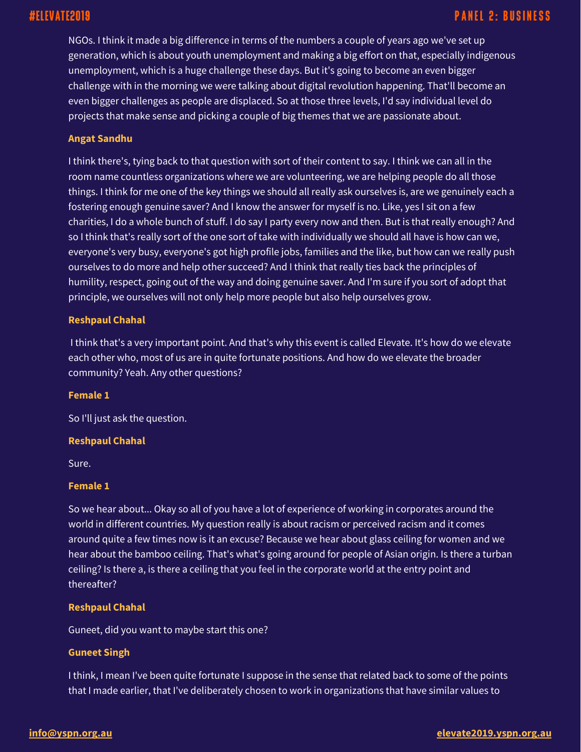NGOs. I think it made a big difference in terms of the numbers a couple of years ago we've set up generation, which is about youth unemployment and making a big effort on that, especially indigenous unemployment, which is a huge challenge these days. But it's going to become an even bigger challenge with in the morning we were talking about digital revolution happening. That'll become an even bigger challenges as people are displaced. So at those three levels, I'd say individual level do projects that make sense and picking a couple of big themes that we are passionate about.

### **Angat Sandhu**

I think there's, tying back to that question with sort of their content to say. I think we can all in the room name countless organizations where we are volunteering, we are helping people do all those things. I think for me one of the key things we should all really ask ourselves is, are we genuinely each a fostering enough genuine saver? And I know the answer for myself is no. Like, yes I sit on a few charities, I do a whole bunch of stuff. I do say I party every now and then. But is that really enough? And so I think that's really sort of the one sort of take with individually we should all have is how can we, everyone's very busy, everyone's got high profile jobs, families and the like, but how can we really push ourselves to do more and help other succeed? And I think that really ties back the principles of humility, respect, going out of the way and doing genuine saver. And I'm sure if you sort of adopt that principle, we ourselves will not only help more people but also help ourselves grow.

#### **Reshpaul Chahal**

I think that's a very important point. And that's why this event is called Elevate. It's how do we elevate each other who, most of us are in quite fortunate positions. And how do we elevate the broader community? Yeah. Any other questions?

#### **Female 1**

So I'll just ask the question.

#### **Reshpaul Chahal**

Sure.

#### **Female 1**

So we hear about... Okay so all of you have a lot of experience of working in corporates around the world in different countries. My question really is about racism or perceived racism and it comes around quite a few times now is it an excuse? Because we hear about glass ceiling for women and we hear about the bamboo ceiling. That's what's going around for people of Asian origin. Is there a turban ceiling? Is there a, is there a ceiling that you feel in the corporate world at the entry point and thereafter?

### **Reshpaul Chahal**

Guneet, did you want to maybe start this one?

### **Guneet Singh**

I think, I mean I've been quite fortunate I suppose in the sense that related back to some of the points that I made earlier, that I've deliberately chosen to work in organizations that have similar values to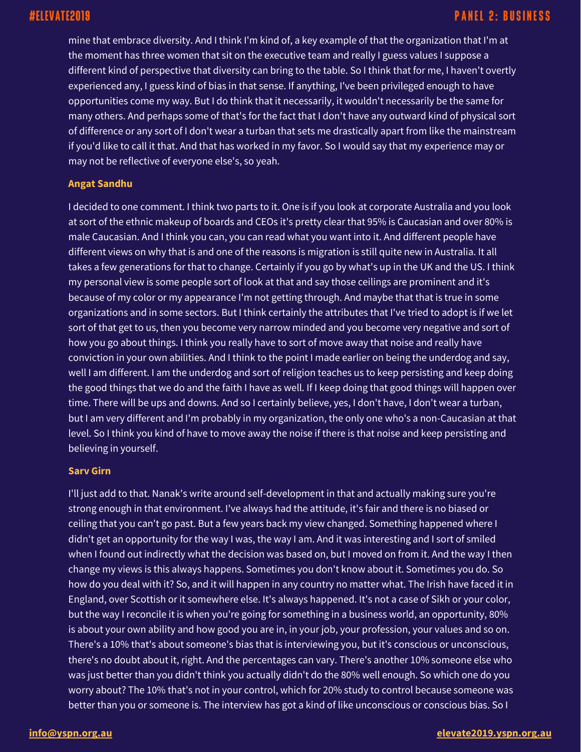mine that embrace diversity. And I think I'm kind of, a key example of that the organization that I'm at the moment has three women that sit on the executive team and really I guess values I suppose a different kind of perspective that diversity can bring to the table. So I think that for me, I haven't overtly experienced any, I guess kind of bias in that sense. If anything, I've been privileged enough to have opportunities come my way. But I do think that it necessarily, it wouldn't necessarily be the same for many others. And perhaps some of that's for the fact that I don't have any outward kind of physical sort of difference or any sort of I don't wear a turban that sets me drastically apart from like the mainstream if you'd like to call it that. And that has worked in my favor. So I would say that my experience may or may not be reflective of everyone else's, so yeah.

#### **Angat Sandhu**

I decided to one comment. I think two parts to it. One is if you look at corporate Australia and you look at sort of the ethnic makeup of boards and CEOs it's pretty clear that 95% is Caucasian and over 80% is male Caucasian. And I think you can, you can read what you want into it. And different people have different views on why that is and one of the reasons is migration is still quite new in Australia. It all takes a few generations for that to change. Certainly if you go by what's up in the UK and the US. I think my personal view is some people sort of look at that and say those ceilings are prominent and it's because of my color or my appearance I'm not getting through. And maybe that that is true in some organizations and in some sectors. But I think certainly the attributes that I've tried to adopt is if we let sort of that get to us, then you become very narrow minded and you become very negative and sort of how you go about things. I think you really have to sort of move away that noise and really have conviction in your own abilities. And I think to the point I made earlier on being the underdog and say, well I am different. I am the underdog and sort of religion teaches us to keep persisting and keep doing the good things that we do and the faith I have as well. If I keep doing that good things will happen over time. There will be ups and downs. And so I certainly believe, yes, I don't have, I don't wear a turban, but I am very different and I'm probably in my organization, the only one who's a non-Caucasian at that level. So I think you kind of have to move away the noise if there is that noise and keep persisting and believing in yourself.

#### **Sarv Girn**

I'll just add to that. Nanak's write around self-development in that and actually making sure you're strong enough in that environment. I've always had the attitude, it's fair and there is no biased or ceiling that you can't go past. But a few years back my view changed. Something happened where I didn't get an opportunity for the way I was, the way I am. And it was interesting and I sort of smiled when I found out indirectly what the decision was based on, but I moved on from it. And the way I then change my views is this always happens. Sometimes you don't know about it. Sometimes you do. So how do you deal with it? So, and it will happen in any country no matter what. The Irish have faced it in England, over Scottish or it somewhere else. It's always happened. It's not a case of Sikh or your color, but the way I reconcile it is when you're going for something in a business world, an opportunity, 80% is about your own ability and how good you are in, in your job, your profession, your values and so on. There's a 10% that's about someone's bias that is interviewing you, but it's conscious or unconscious, there's no doubt about it, right. And the percentages can vary. There's another 10% someone else who was just better than you didn't think you actually didn't do the 80% well enough. So which one do you worry about? The 10% that's not in your control, which for 20% study to control because someone was better than you or someone is. The interview has got a kind of like unconscious or conscious bias. So I